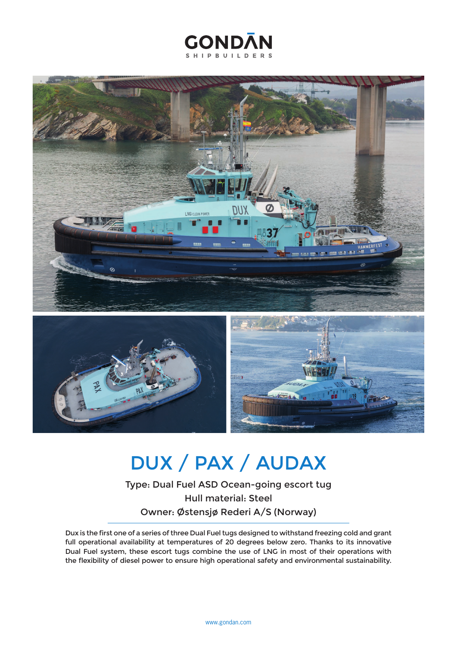



## DUX / PAX / AUDAX

Type: Dual Fuel ASD Ocean-going escort tug Hull material: Steel Owner: Østensjø Rederi A/S (Norway)

Dux is the first one of a series of three Dual Fuel tugs designed to withstand freezing cold and grant full operational availability at temperatures of 20 degrees below zero. Thanks to its innovative Dual Fuel system, these escort tugs combine the use of LNG in most of their operations with the flexibility of diesel power to ensure high operational safety and environmental sustainability.